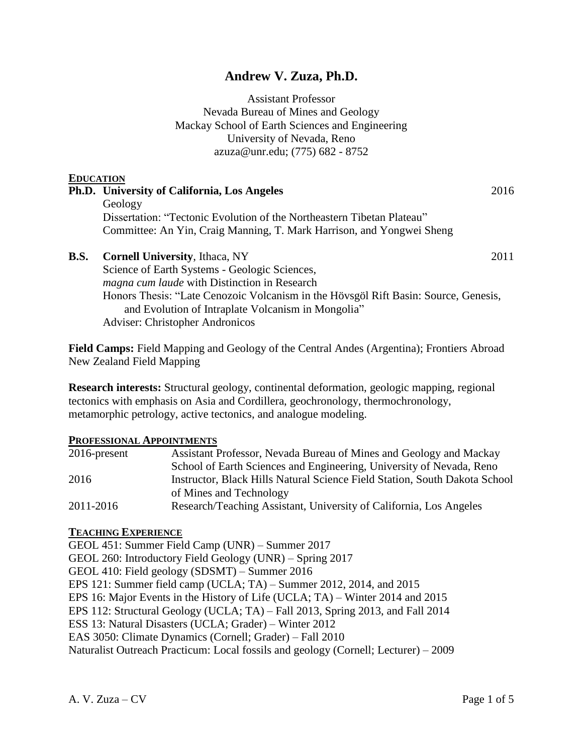# **Andrew V. Zuza, Ph.D.**

Assistant Professor Nevada Bureau of Mines and Geology Mackay School of Earth Sciences and Engineering University of Nevada, Reno azuza@unr.edu; (775) 682 - 8752

# **EDUCATION Ph.D. University of California, Los Angeles** 2016 Geology Dissertation: "Tectonic Evolution of the Northeastern Tibetan Plateau" Committee: An Yin, Craig Manning, T. Mark Harrison, and Yongwei Sheng **B.S. Cornell University**, Ithaca, NY 2011 Science of Earth Systems - Geologic Sciences, *magna cum laude* with Distinction in Research Honors Thesis: "Late Cenozoic Volcanism in the Hövsgöl Rift Basin: Source, Genesis, and Evolution of Intraplate Volcanism in Mongolia" Adviser: Christopher Andronicos

**Field Camps:** Field Mapping and Geology of the Central Andes (Argentina); Frontiers Abroad New Zealand Field Mapping

**Research interests:** Structural geology, continental deformation, geologic mapping, regional tectonics with emphasis on Asia and Cordillera, geochronology, thermochronology, metamorphic petrology, active tectonics, and analogue modeling.

#### **PROFESSIONAL APPOINTMENTS**

| $2016$ -present | Assistant Professor, Nevada Bureau of Mines and Geology and Mackay         |
|-----------------|----------------------------------------------------------------------------|
|                 | School of Earth Sciences and Engineering, University of Nevada, Reno       |
| 2016            | Instructor, Black Hills Natural Science Field Station, South Dakota School |
|                 | of Mines and Technology                                                    |
| 2011-2016       | Research/Teaching Assistant, University of California, Los Angeles         |

## **TEACHING EXPERIENCE**

GEOL 451: Summer Field Camp (UNR) – Summer 2017 GEOL 260: Introductory Field Geology (UNR) – Spring 2017 GEOL 410: Field geology (SDSMT) – Summer 2016 EPS 121: Summer field camp (UCLA; TA) – Summer 2012, 2014, and 2015 EPS 16: Major Events in the History of Life (UCLA; TA) – Winter 2014 and 2015 EPS 112: Structural Geology (UCLA; TA) – Fall 2013, Spring 2013, and Fall 2014 ESS 13: Natural Disasters (UCLA; Grader) – Winter 2012 EAS 3050: Climate Dynamics (Cornell; Grader) – Fall 2010 Naturalist Outreach Practicum: Local fossils and geology (Cornell; Lecturer) – 2009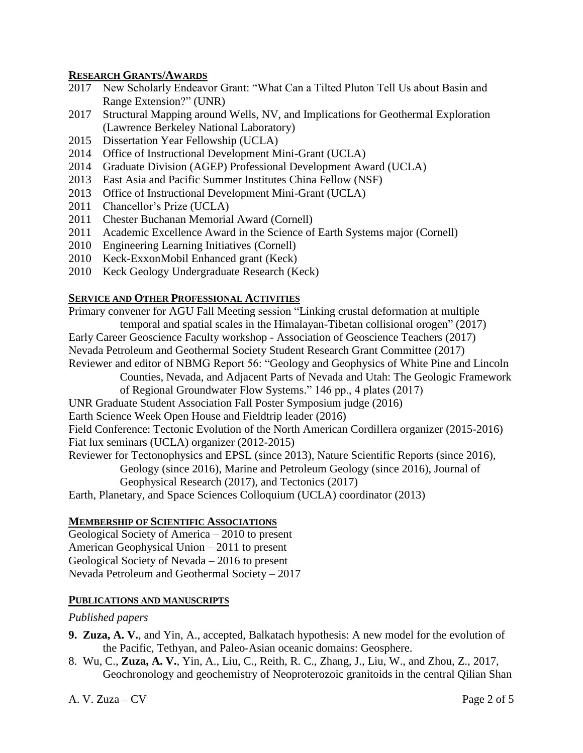#### **RESEARCH GRANTS/AWARDS**

- 2017 New Scholarly Endeavor Grant: "What Can a Tilted Pluton Tell Us about Basin and Range Extension?" (UNR)
- 2017 Structural Mapping around Wells, NV, and Implications for Geothermal Exploration (Lawrence Berkeley National Laboratory)
- 2015 Dissertation Year Fellowship (UCLA)
- 2014 Office of Instructional Development Mini-Grant (UCLA)
- 2014 Graduate Division (AGEP) Professional Development Award (UCLA)
- 2013 East Asia and Pacific Summer Institutes China Fellow (NSF)
- 2013 Office of Instructional Development Mini-Grant (UCLA)
- 2011 Chancellor's Prize (UCLA)
- 2011 Chester Buchanan Memorial Award (Cornell)
- 2011 Academic Excellence Award in the Science of Earth Systems major (Cornell)
- 2010 Engineering Learning Initiatives (Cornell)
- 2010 Keck-ExxonMobil Enhanced grant (Keck)
- 2010 Keck Geology Undergraduate Research (Keck)

#### **SERVICE AND OTHER PROFESSIONAL ACTIVITIES**

Primary convener for AGU Fall Meeting session "Linking crustal deformation at multiple temporal and spatial scales in the Himalayan-Tibetan collisional orogen" (2017)

- Early Career Geoscience Faculty workshop Association of Geoscience Teachers (2017)
- Nevada Petroleum and Geothermal Society Student Research Grant Committee (2017)

Reviewer and editor of NBMG Report 56: "Geology and Geophysics of White Pine and Lincoln

Counties, Nevada, and Adjacent Parts of Nevada and Utah: The Geologic Framework

- of Regional Groundwater Flow Systems." 146 pp., 4 plates (2017)
- UNR Graduate Student Association Fall Poster Symposium judge (2016)
- Earth Science Week Open House and Fieldtrip leader (2016)

Field Conference: Tectonic Evolution of the North American Cordillera organizer (2015-2016) Fiat lux seminars (UCLA) organizer (2012-2015)

Reviewer for Tectonophysics and EPSL (since 2013), Nature Scientific Reports (since 2016), Geology (since 2016), Marine and Petroleum Geology (since 2016), Journal of

Geophysical Research (2017), and Tectonics (2017)

Earth, Planetary, and Space Sciences Colloquium (UCLA) coordinator (2013)

#### **MEMBERSHIP OF SCIENTIFIC ASSOCIATIONS**

Geological Society of America – 2010 to present American Geophysical Union – 2011 to present Geological Society of Nevada – 2016 to present Nevada Petroleum and Geothermal Society – 2017

#### **PUBLICATIONS AND MANUSCRIPTS**

#### *Published papers*

- **9. Zuza, A. V.**, and Yin, A., accepted, Balkatach hypothesis: A new model for the evolution of the Pacific, Tethyan, and Paleo-Asian oceanic domains: Geosphere.
- 8. Wu, C., **Zuza, A. V.**, Yin, A., Liu, C., Reith, R. C., Zhang, J., Liu, W., and Zhou, Z., 2017, Geochronology and geochemistry of Neoproterozoic granitoids in the central Qilian Shan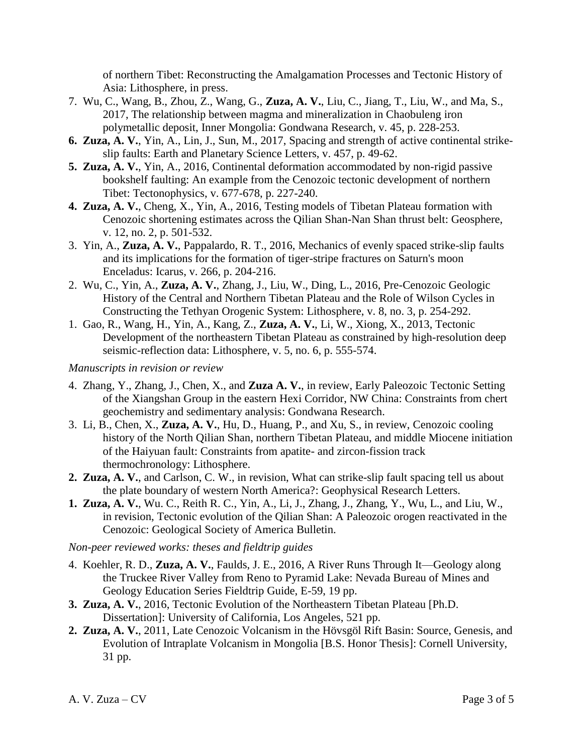of northern Tibet: Reconstructing the Amalgamation Processes and Tectonic History of Asia: Lithosphere, in press.

- 7. Wu, C., Wang, B., Zhou, Z., Wang, G., **Zuza, A. V.**, Liu, C., Jiang, T., Liu, W., and Ma, S., 2017, The relationship between magma and mineralization in Chaobuleng iron polymetallic deposit, Inner Mongolia: Gondwana Research, v. 45, p. 228-253.
- **6. Zuza, A. V.**, Yin, A., Lin, J., Sun, M., 2017, Spacing and strength of active continental strikeslip faults: Earth and Planetary Science Letters, v. 457, p. 49-62.
- **5. Zuza, A. V.**, Yin, A., 2016, Continental deformation accommodated by non-rigid passive bookshelf faulting: An example from the Cenozoic tectonic development of northern Tibet: Tectonophysics, v. 677-678, p. 227-240.
- **4. Zuza, A. V.**, Cheng, X., Yin, A., 2016, Testing models of Tibetan Plateau formation with Cenozoic shortening estimates across the Qilian Shan-Nan Shan thrust belt: Geosphere, v. 12, no. 2, p. 501-532.
- 3. Yin, A., **Zuza, A. V.**, Pappalardo, R. T., 2016, Mechanics of evenly spaced strike-slip faults and its implications for the formation of tiger-stripe fractures on Saturn's moon Enceladus: Icarus, v. 266, p. 204-216.
- 2. Wu, C., Yin, A., **Zuza, A. V.**, Zhang, J., Liu, W., Ding, L., 2016, Pre-Cenozoic Geologic History of the Central and Northern Tibetan Plateau and the Role of Wilson Cycles in Constructing the Tethyan Orogenic System: Lithosphere, v. 8, no. 3, p. 254-292.
- 1. Gao, R., Wang, H., Yin, A., Kang, Z., **Zuza, A. V.**, Li, W., Xiong, X., 2013, Tectonic Development of the northeastern Tibetan Plateau as constrained by high-resolution deep seismic-reflection data: Lithosphere, v. 5, no. 6, p. 555-574.

### *Manuscripts in revision or review*

- 4. Zhang, Y., Zhang, J., Chen, X., and **Zuza A. V.**, in review, Early Paleozoic Tectonic Setting of the Xiangshan Group in the eastern Hexi Corridor, NW China: Constraints from chert geochemistry and sedimentary analysis: Gondwana Research.
- 3. Li, B., Chen, X., **Zuza, A. V.**, Hu, D., Huang, P., and Xu, S., in review, Cenozoic cooling history of the North Qilian Shan, northern Tibetan Plateau, and middle Miocene initiation of the Haiyuan fault: Constraints from apatite- and zircon-fission track thermochronology: Lithosphere.
- **2. Zuza, A. V.**, and Carlson, C. W., in revision, What can strike-slip fault spacing tell us about the plate boundary of western North America?: Geophysical Research Letters.
- **1. Zuza, A. V.**, Wu. C., Reith R. C., Yin, A., Li, J., Zhang, J., Zhang, Y., Wu, L., and Liu, W., in revision, Tectonic evolution of the Qilian Shan: A Paleozoic orogen reactivated in the Cenozoic: Geological Society of America Bulletin.

## *Non-peer reviewed works: theses and fieldtrip guides*

- 4. Koehler, R. D., **Zuza, A. V.**, Faulds, J. E., 2016, A River Runs Through It—Geology along the Truckee River Valley from Reno to Pyramid Lake: Nevada Bureau of Mines and Geology Education Series Fieldtrip Guide, E-59, 19 pp.
- **3. Zuza, A. V.**, 2016, Tectonic Evolution of the Northeastern Tibetan Plateau [Ph.D. Dissertation]: University of California, Los Angeles, 521 pp.
- **2. Zuza, A. V.**, 2011, Late Cenozoic Volcanism in the Hövsgöl Rift Basin: Source, Genesis, and Evolution of Intraplate Volcanism in Mongolia [B.S. Honor Thesis]: Cornell University, 31 pp.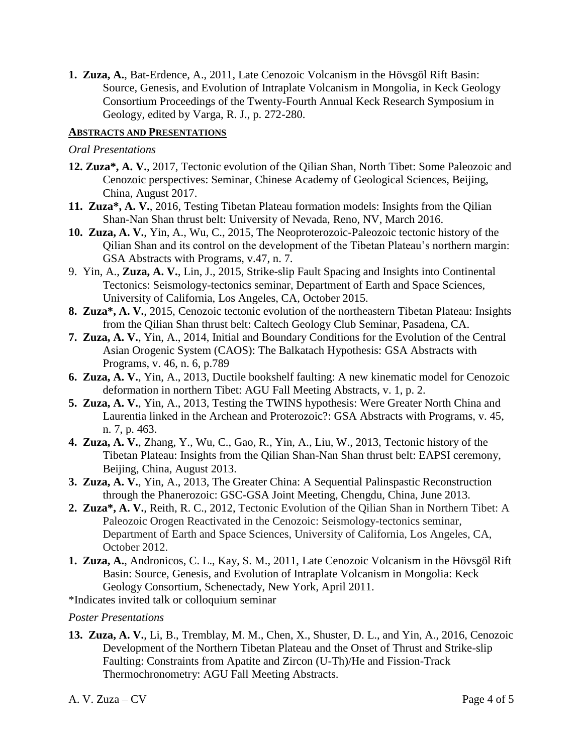**1. Zuza, A.**, Bat-Erdence, A., 2011, Late Cenozoic Volcanism in the Hövsgöl Rift Basin: Source, Genesis, and Evolution of Intraplate Volcanism in Mongolia, in Keck Geology Consortium Proceedings of the Twenty-Fourth Annual Keck Research Symposium in Geology, edited by Varga, R. J., p. 272-280.

## **ABSTRACTS AND PRESENTATIONS**

#### *Oral Presentations*

- **12. Zuza\*, A. V.**, 2017, Tectonic evolution of the Qilian Shan, North Tibet: Some Paleozoic and Cenozoic perspectives: Seminar, Chinese Academy of Geological Sciences, Beijing, China, August 2017.
- **11. Zuza\*, A. V.**, 2016, Testing Tibetan Plateau formation models: Insights from the Qilian Shan-Nan Shan thrust belt: University of Nevada, Reno, NV, March 2016.
- **10. Zuza, A. V.**, Yin, A., Wu, C., 2015, The Neoproterozoic-Paleozoic tectonic history of the Qilian Shan and its control on the development of the Tibetan Plateau's northern margin: GSA Abstracts with Programs, v.47, n. 7.
- 9. Yin, A., **Zuza, A. V.**, Lin, J., 2015, Strike-slip Fault Spacing and Insights into Continental Tectonics: Seismology-tectonics seminar, Department of Earth and Space Sciences, University of California, Los Angeles, CA, October 2015.
- **8. Zuza\*, A. V.**, 2015, Cenozoic tectonic evolution of the northeastern Tibetan Plateau: Insights from the Qilian Shan thrust belt: Caltech Geology Club Seminar, Pasadena, CA.
- **7. Zuza, A. V.**, Yin, A., 2014, Initial and Boundary Conditions for the Evolution of the Central Asian Orogenic System (CAOS): The Balkatach Hypothesis: GSA Abstracts with Programs, v. 46, n. 6, p.789
- **6. Zuza, A. V.**, Yin, A., 2013, Ductile bookshelf faulting: A new kinematic model for Cenozoic deformation in northern Tibet: AGU Fall Meeting Abstracts, v. 1, p. 2.
- **5. Zuza, A. V.**, Yin, A., 2013, Testing the TWINS hypothesis: Were Greater North China and Laurentia linked in the Archean and Proterozoic?: GSA Abstracts with Programs, v. 45, n. 7, p. 463.
- **4. Zuza, A. V.**, Zhang, Y., Wu, C., Gao, R., Yin, A., Liu, W., 2013, Tectonic history of the Tibetan Plateau: Insights from the Qilian Shan-Nan Shan thrust belt: EAPSI ceremony, Beijing, China, August 2013.
- **3. Zuza, A. V.**, Yin, A., 2013, The Greater China: A Sequential Palinspastic Reconstruction through the Phanerozoic: GSC-GSA Joint Meeting, Chengdu, China, June 2013.
- **2. Zuza\*, A. V.**, Reith, R. C., 2012, Tectonic Evolution of the Qilian Shan in Northern Tibet: A Paleozoic Orogen Reactivated in the Cenozoic: Seismology-tectonics seminar, Department of Earth and Space Sciences, University of California, Los Angeles, CA, October 2012.
- **1. Zuza, A.**, Andronicos, C. L., Kay, S. M., 2011, Late Cenozoic Volcanism in the Hövsgöl Rift Basin: Source, Genesis, and Evolution of Intraplate Volcanism in Mongolia: Keck Geology Consortium, Schenectady, New York, April 2011.

\*Indicates invited talk or colloquium seminar

#### *Poster Presentations*

**13. Zuza, A. V.**, Li, B., Tremblay, M. M., Chen, X., Shuster, D. L., and Yin, A., 2016, Cenozoic Development of the Northern Tibetan Plateau and the Onset of Thrust and Strike-slip Faulting: Constraints from Apatite and Zircon (U-Th)/He and Fission-Track Thermochronometry: AGU Fall Meeting Abstracts.